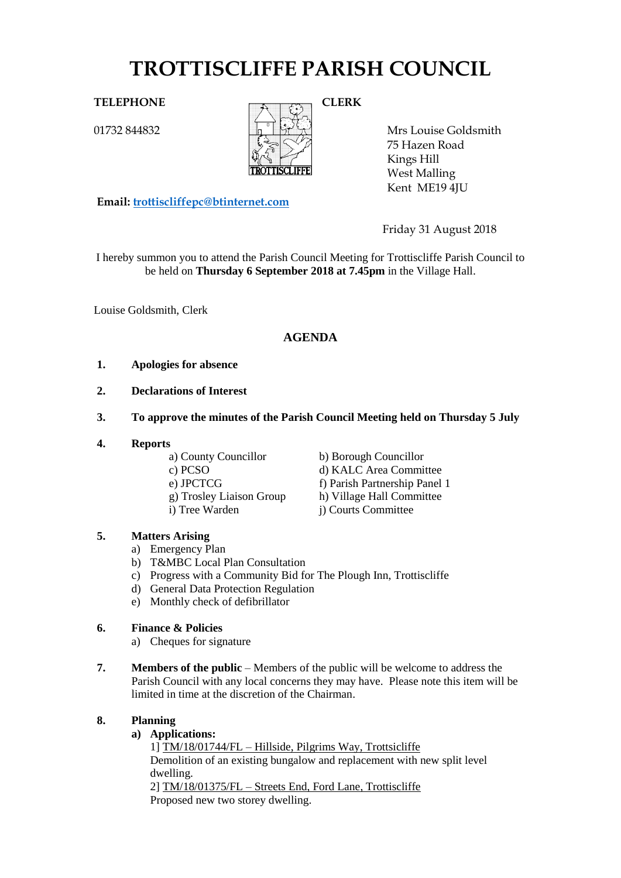# **TROTTISCLIFFE PARISH COUNCIL**

01732 844832



Mrs Louise Goldsmith 75 Hazen Road Kings Hill West Malling Kent ME19 4JU

Friday 31 August 2018

I hereby summon you to attend the Parish Council Meeting for Trottiscliffe Parish Council to be held on **Thursday 6 September 2018 at 7.45pm** in the Village Hall.

Louise Goldsmith, Clerk

# **AGENDA**

## **1. Apologies for absence**

**Email: [trottiscliffepc@btinternet.com](mailto:trottiscliffepc@btinternet.com)**

- **2. Declarations of Interest**
- **3. To approve the minutes of the Parish Council Meeting held on Thursday 5 July**
- **4. Reports**

a) County Councillor b) Borough Councillor

- 
- 

c) PCSO d) KALC Area Committee e) JPCTCG f) Parish Partnership Panel 1 g) Trosley Liaison Group h) Village Hall Committee

# i) Tree Warden j) Courts Committee

# **5. Matters Arising**

- a) Emergency Plan
- b) T&MBC Local Plan Consultation
- c) Progress with a Community Bid for The Plough Inn, Trottiscliffe
- d) General Data Protection Regulation
- e) Monthly check of defibrillator

# **6. Finance & Policies**

- a) Cheques for signature
- **7. Members of the public** Members of the public will be welcome to address the Parish Council with any local concerns they may have. Please note this item will be limited in time at the discretion of the Chairman.

# **8. Planning**

**a) Applications:** 

1] TM/18/01744/FL – Hillside, Pilgrims Way, Trottsicliffe Demolition of an existing bungalow and replacement with new split level dwelling. 2] TM/18/01375/FL – Streets End, Ford Lane, Trottiscliffe Proposed new two storey dwelling.